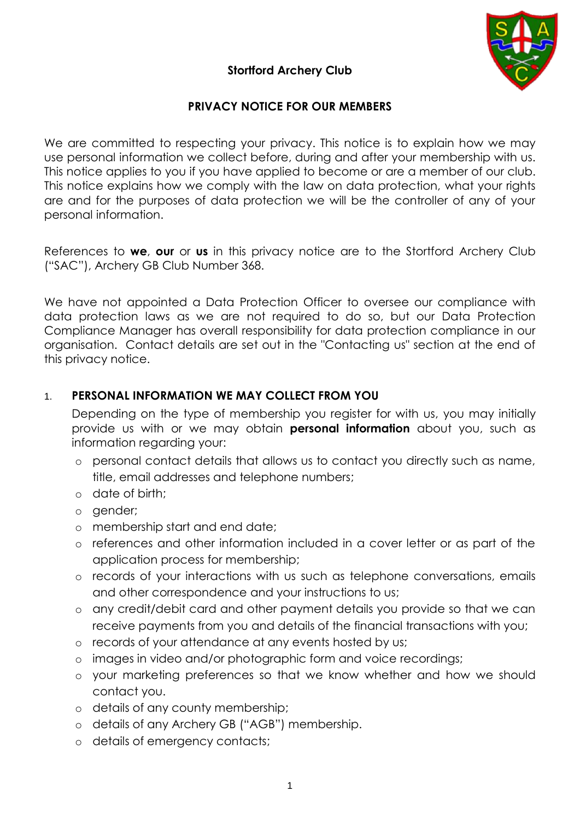

# **Stortford Archery Club**

# **PRIVACY NOTICE FOR OUR MEMBERS**

We are committed to respecting your privacy. This notice is to explain how we may use personal information we collect before, during and after your membership with us. This notice applies to you if you have applied to become or are a member of our club. This notice explains how we comply with the law on data protection, what your rights are and for the purposes of data protection we will be the controller of any of your personal information.

References to **we**, **our** or **us** in this privacy notice are to the Stortford Archery Club ("SAC"), Archery GB Club Number 368.

We have not appointed a Data Protection Officer to oversee our compliance with data protection laws as we are not required to do so, but our Data Protection Compliance Manager has overall responsibility for data protection compliance in our organisation. Contact details are set out in the "Contacting us" section at the end of this privacy notice.

# 1. **PERSONAL INFORMATION WE MAY COLLECT FROM YOU**

Depending on the type of membership you register for with us, you may initially provide us with or we may obtain **personal information** about you, such as information regarding your:

- o personal contact details that allows us to contact you directly such as name, title, email addresses and telephone numbers;
- o date of birth;
- o gender;
- o membership start and end date;
- o references and other information included in a cover letter or as part of the application process for membership;
- o records of your interactions with us such as telephone conversations, emails and other correspondence and your instructions to us;
- o any credit/debit card and other payment details you provide so that we can receive payments from you and details of the financial transactions with you;
- o records of your attendance at any events hosted by us;
- o images in video and/or photographic form and voice recordings;
- o your marketing preferences so that we know whether and how we should contact you.
- o details of any county membership;
- o details of any Archery GB ("AGB") membership.
- o details of emergency contacts;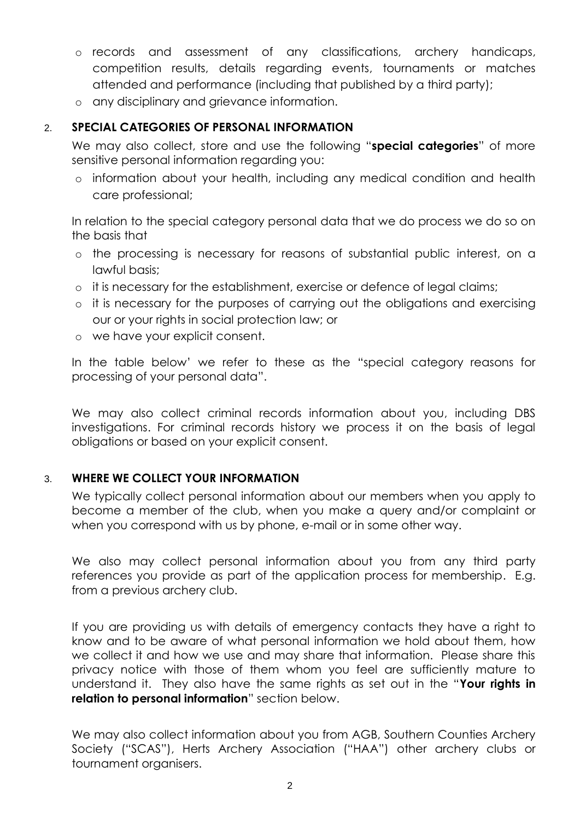- o records and assessment of any classifications, archery handicaps, competition results, details regarding events, tournaments or matches attended and performance (including that published by a third party);
- o any disciplinary and grievance information.

#### 2. **SPECIAL CATEGORIES OF PERSONAL INFORMATION**

We may also collect, store and use the following "**special categories**" of more sensitive personal information regarding you:

o information about your health, including any medical condition and health care professional;

In relation to the special category personal data that we do process we do so on the basis that

- o the processing is necessary for reasons of substantial public interest, on a lawful basis;
- o it is necessary for the establishment, exercise or defence of legal claims;
- o it is necessary for the purposes of carrying out the obligations and exercising our or your rights in social protection law; or
- o we have your explicit consent.

In the table below' we refer to these as the "special category reasons for processing of your personal data".

We may also collect criminal records information about you, including DBS investigations. For criminal records history we process it on the basis of legal obligations or based on your explicit consent.

## 3. **WHERE WE COLLECT YOUR INFORMATION**

We typically collect personal information about our members when you apply to become a member of the club, when you make a query and/or complaint or when you correspond with us by phone, e-mail or in some other way.

We also may collect personal information about you from any third party references you provide as part of the application process for membership. E.g. from a previous archery club.

If you are providing us with details of emergency contacts they have a right to know and to be aware of what personal information we hold about them, how we collect it and how we use and may share that information. Please share this privacy notice with those of them whom you feel are sufficiently mature to understand it. They also have the same rights as set out in the "**Your rights in relation to personal information**" section below.

We may also collect information about you from AGB, Southern Counties Archery Society ("SCAS"), Herts Archery Association ("HAA") other archery clubs or tournament organisers.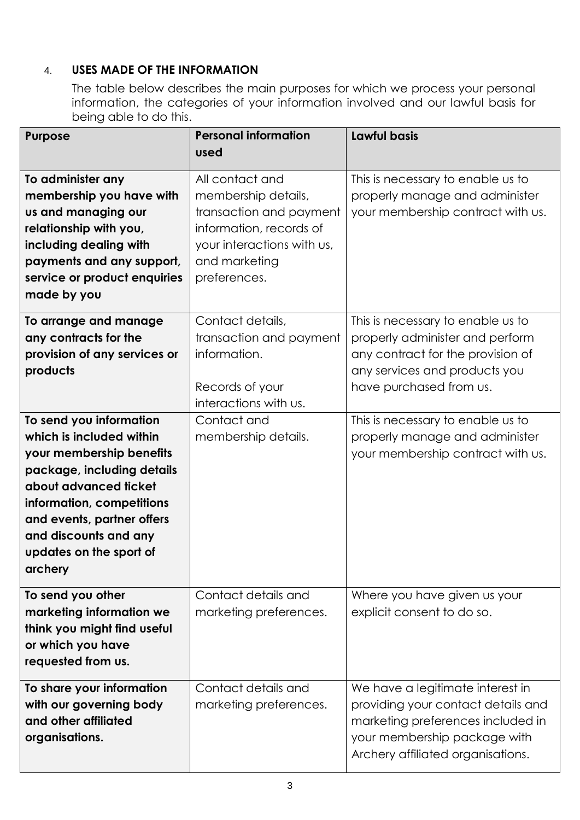# 4. **USES MADE OF THE INFORMATION**

The table below describes the main purposes for which we process your personal information, the categories of your information involved and our lawful basis for being able to do this.

| <b>Purpose</b>               | <b>Personal information</b> | <b>Lawful basis</b>                |
|------------------------------|-----------------------------|------------------------------------|
|                              | used                        |                                    |
| To administer any            | All contact and             | This is necessary to enable us to  |
| membership you have with     | membership details,         | properly manage and administer     |
| us and managing our          | transaction and payment     | your membership contract with us.  |
| relationship with you,       | information, records of     |                                    |
| including dealing with       | your interactions with us,  |                                    |
| payments and any support,    | and marketing               |                                    |
| service or product enquiries | preferences.                |                                    |
| made by you                  |                             |                                    |
| To arrange and manage        | Contact details,            | This is necessary to enable us to  |
| any contracts for the        | transaction and payment     | properly administer and perform    |
| provision of any services or | information.                | any contract for the provision of  |
| products                     |                             | any services and products you      |
|                              | Records of your             | have purchased from us.            |
|                              | interactions with us.       |                                    |
| To send you information      | Contact and                 | This is necessary to enable us to  |
| which is included within     | membership details.         | properly manage and administer     |
| your membership benefits     |                             | your membership contract with us.  |
| package, including details   |                             |                                    |
| about advanced ticket        |                             |                                    |
| information, competitions    |                             |                                    |
| and events, partner offers   |                             |                                    |
| and discounts and any        |                             |                                    |
| updates on the sport of      |                             |                                    |
| archery                      |                             |                                    |
| To send you other            | Contact details and         | Where you have given us your       |
| marketing information we     | marketing preferences.      | explicit consent to do so.         |
| think you might find useful  |                             |                                    |
| or which you have            |                             |                                    |
| requested from us.           |                             |                                    |
| To share your information    | Contact details and         | We have a legitimate interest in   |
| with our governing body      | marketing preferences.      | providing your contact details and |
| and other affiliated         |                             | marketing preferences included in  |
| organisations.               |                             | your membership package with       |
|                              |                             | Archery affiliated organisations.  |
|                              |                             |                                    |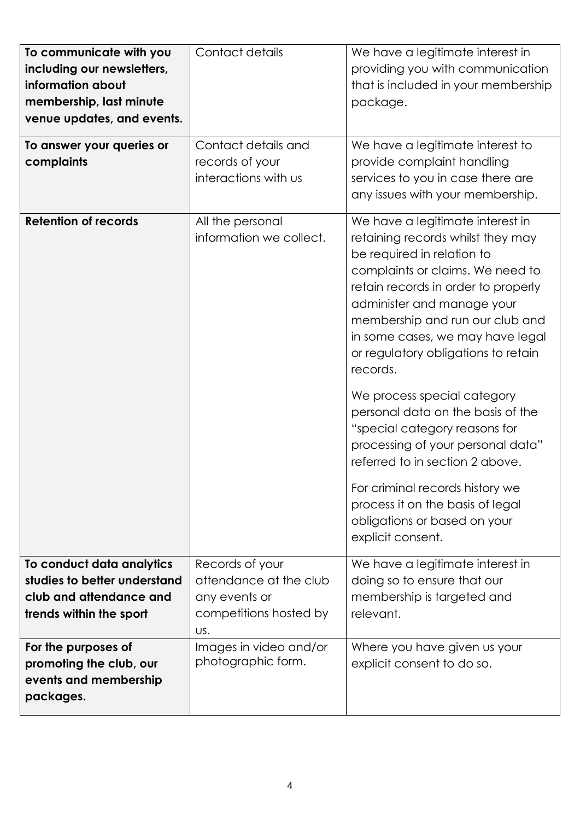| To communicate with you<br>including our newsletters,<br>information about<br>membership, last minute<br>venue updates, and events. | Contact details                                                                             | We have a legitimate interest in<br>providing you with communication<br>that is included in your membership<br>package.                                                                                                                                                                                                                                                                                                                                                                                                                                                                                                                         |
|-------------------------------------------------------------------------------------------------------------------------------------|---------------------------------------------------------------------------------------------|-------------------------------------------------------------------------------------------------------------------------------------------------------------------------------------------------------------------------------------------------------------------------------------------------------------------------------------------------------------------------------------------------------------------------------------------------------------------------------------------------------------------------------------------------------------------------------------------------------------------------------------------------|
| To answer your queries or<br>complaints                                                                                             | Contact details and<br>records of your<br>interactions with us                              | We have a legitimate interest to<br>provide complaint handling<br>services to you in case there are<br>any issues with your membership.                                                                                                                                                                                                                                                                                                                                                                                                                                                                                                         |
| <b>Retention of records</b>                                                                                                         | All the personal<br>information we collect.                                                 | We have a legitimate interest in<br>retaining records whilst they may<br>be required in relation to<br>complaints or claims. We need to<br>retain records in order to properly<br>administer and manage your<br>membership and run our club and<br>in some cases, we may have legal<br>or regulatory obligations to retain<br>records.<br>We process special category<br>personal data on the basis of the<br>"special category reasons for<br>processing of your personal data"<br>referred to in section 2 above.<br>For criminal records history we<br>process it on the basis of legal<br>obligations or based on your<br>explicit consent. |
| To conduct data analytics<br>studies to better understand<br>club and attendance and<br>trends within the sport                     | Records of your<br>attendance at the club<br>any events or<br>competitions hosted by<br>US. | We have a legitimate interest in<br>doing so to ensure that our<br>membership is targeted and<br>relevant.                                                                                                                                                                                                                                                                                                                                                                                                                                                                                                                                      |
| For the purposes of<br>promoting the club, our<br>events and membership<br>packages.                                                | Images in video and/or<br>photographic form.                                                | Where you have given us your<br>explicit consent to do so.                                                                                                                                                                                                                                                                                                                                                                                                                                                                                                                                                                                      |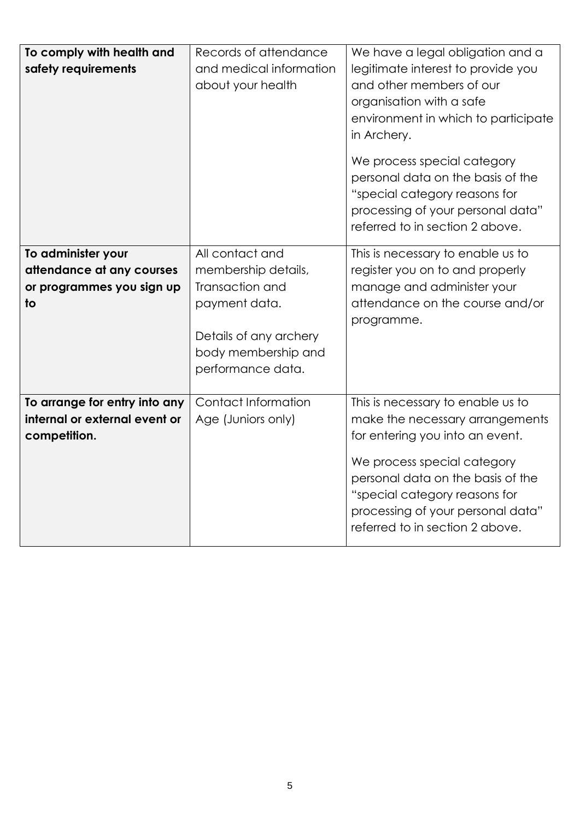| To comply with health and<br>safety requirements                               | Records of attendance<br>and medical information<br>about your health                                  | We have a legal obligation and a<br>legitimate interest to provide you<br>and other members of our<br>organisation with a safe<br>environment in which to participate<br>in Archery.<br>We process special category<br>personal data on the basis of the<br>"special category reasons for<br>processing of your personal data"<br>referred to in section 2 above. |
|--------------------------------------------------------------------------------|--------------------------------------------------------------------------------------------------------|-------------------------------------------------------------------------------------------------------------------------------------------------------------------------------------------------------------------------------------------------------------------------------------------------------------------------------------------------------------------|
| To administer your<br>attendance at any courses                                | All contact and<br>membership details,                                                                 | This is necessary to enable us to<br>register you on to and properly                                                                                                                                                                                                                                                                                              |
| or programmes you sign up<br>$\overline{1}$                                    | Transaction and<br>payment data.<br>Details of any archery<br>body membership and<br>performance data. | manage and administer your<br>attendance on the course and/or<br>programme.                                                                                                                                                                                                                                                                                       |
| To arrange for entry into any<br>internal or external event or<br>competition. | Contact Information<br>Age (Juniors only)                                                              | This is necessary to enable us to<br>make the necessary arrangements<br>for entering you into an event.<br>We process special category<br>personal data on the basis of the<br>"special category reasons for<br>processing of your personal data"<br>referred to in section 2 above.                                                                              |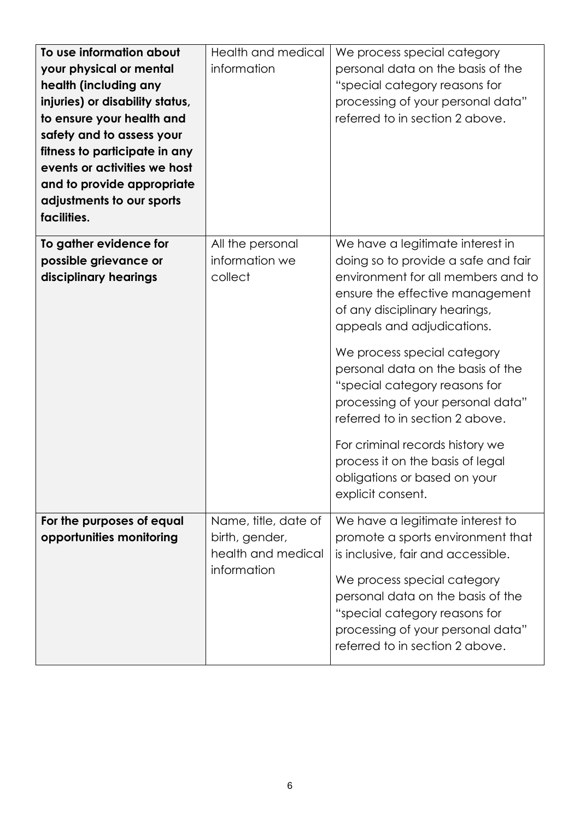| To use information about<br>your physical or mental<br>health (including any<br>injuries) or disability status,<br>to ensure your health and<br>safety and to assess your<br>fitness to participate in any<br>events or activities we host<br>and to provide appropriate<br>adjustments to our sports | Health and medical<br>information                                           | We process special category<br>personal data on the basis of the<br>"special category reasons for<br>processing of your personal data"<br>referred to in section 2 above.                                                                                                                |
|-------------------------------------------------------------------------------------------------------------------------------------------------------------------------------------------------------------------------------------------------------------------------------------------------------|-----------------------------------------------------------------------------|------------------------------------------------------------------------------------------------------------------------------------------------------------------------------------------------------------------------------------------------------------------------------------------|
| facilities.<br>To gather evidence for<br>possible grievance or                                                                                                                                                                                                                                        | All the personal<br>information we                                          | We have a legitimate interest in<br>doing so to provide a safe and fair                                                                                                                                                                                                                  |
| disciplinary hearings                                                                                                                                                                                                                                                                                 | collect                                                                     | environment for all members and to<br>ensure the effective management<br>of any disciplinary hearings,<br>appeals and adjudications.                                                                                                                                                     |
|                                                                                                                                                                                                                                                                                                       |                                                                             | We process special category<br>personal data on the basis of the<br>"special category reasons for<br>processing of your personal data"<br>referred to in section 2 above.                                                                                                                |
|                                                                                                                                                                                                                                                                                                       |                                                                             | For criminal records history we<br>process it on the basis of legal<br>obligations or based on your<br>explicit consent.                                                                                                                                                                 |
| For the purposes of equal<br>opportunities monitoring                                                                                                                                                                                                                                                 | Name, title, date of<br>birth, gender,<br>health and medical<br>information | We have a legitimate interest to<br>promote a sports environment that<br>is inclusive, fair and accessible.<br>We process special category<br>personal data on the basis of the<br>"special category reasons for<br>processing of your personal data"<br>referred to in section 2 above. |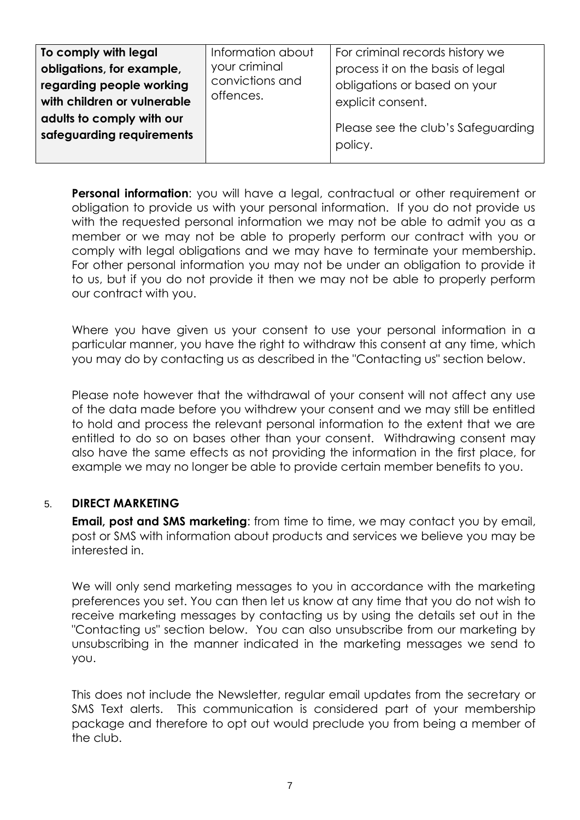| Information about<br>your criminal<br>convictions and<br>offences. | For criminal records history we<br>process it on the basis of legal<br>obligations or based on your<br>explicit consent.<br>Please see the club's Safeguarding<br>policy. |
|--------------------------------------------------------------------|---------------------------------------------------------------------------------------------------------------------------------------------------------------------------|
|                                                                    |                                                                                                                                                                           |
|                                                                    |                                                                                                                                                                           |

**Personal information**: you will have a legal, contractual or other requirement or obligation to provide us with your personal information. If you do not provide us with the requested personal information we may not be able to admit you as a member or we may not be able to properly perform our contract with you or comply with legal obligations and we may have to terminate your membership. For other personal information you may not be under an obligation to provide it to us, but if you do not provide it then we may not be able to properly perform our contract with you.

Where you have given us your consent to use your personal information in a particular manner, you have the right to withdraw this consent at any time, which you may do by contacting us as described in the "Contacting us" section below.

Please note however that the withdrawal of your consent will not affect any use of the data made before you withdrew your consent and we may still be entitled to hold and process the relevant personal information to the extent that we are entitled to do so on bases other than your consent. Withdrawing consent may also have the same effects as not providing the information in the first place, for example we may no longer be able to provide certain member benefits to you.

## 5. **DIRECT MARKETING**

**Email, post and SMS marketing:** from time to time, we may contact you by email, post or SMS with information about products and services we believe you may be interested in.

We will only send marketing messages to you in accordance with the marketing preferences you set. You can then let us know at any time that you do not wish to receive marketing messages by contacting us by using the details set out in the "Contacting us" section below. You can also unsubscribe from our marketing by unsubscribing in the manner indicated in the marketing messages we send to you.

This does not include the Newsletter, regular email updates from the secretary or SMS Text alerts. This communication is considered part of your membership package and therefore to opt out would preclude you from being a member of the club.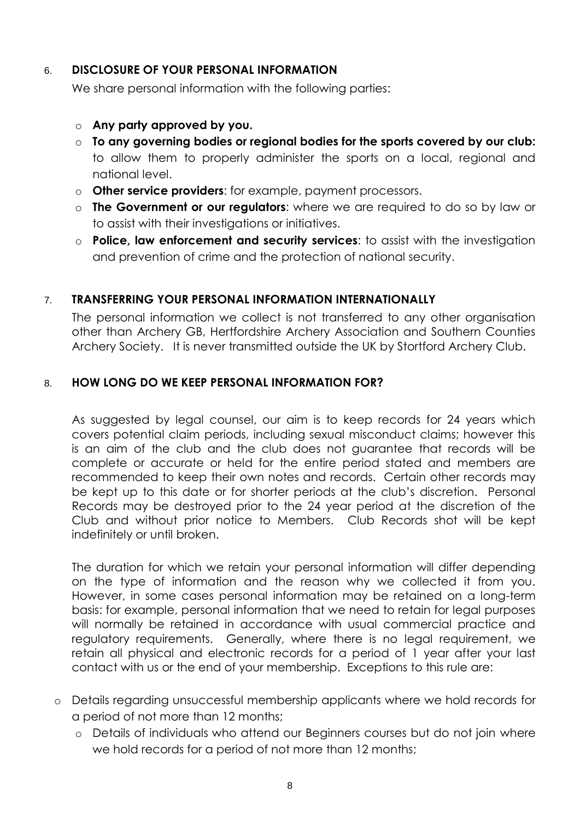## 6. **DISCLOSURE OF YOUR PERSONAL INFORMATION**

We share personal information with the following parties:

- o **Any party approved by you.**
- o **To any governing bodies or regional bodies for the sports covered by our club:** to allow them to properly administer the sports on a local, regional and national level.
- o **Other service providers**: for example, payment processors.
- o **The Government or our regulators**: where we are required to do so by law or to assist with their investigations or initiatives.
- o **Police, law enforcement and security services**: to assist with the investigation and prevention of crime and the protection of national security.

# 7. **TRANSFERRING YOUR PERSONAL INFORMATION INTERNATIONALLY**

The personal information we collect is not transferred to any other organisation other than Archery GB, Hertfordshire Archery Association and Southern Counties Archery Society. It is never transmitted outside the UK by Stortford Archery Club.

## 8. **HOW LONG DO WE KEEP PERSONAL INFORMATION FOR?**

As suggested by legal counsel, our aim is to keep records for 24 years which covers potential claim periods, including sexual misconduct claims; however this is an aim of the club and the club does not guarantee that records will be complete or accurate or held for the entire period stated and members are recommended to keep their own notes and records. Certain other records may be kept up to this date or for shorter periods at the club's discretion. Personal Records may be destroyed prior to the 24 year period at the discretion of the Club and without prior notice to Members. Club Records shot will be kept indefinitely or until broken.

The duration for which we retain your personal information will differ depending on the type of information and the reason why we collected it from you. However, in some cases personal information may be retained on a long-term basis: for example, personal information that we need to retain for legal purposes will normally be retained in accordance with usual commercial practice and regulatory requirements. Generally, where there is no legal requirement, we retain all physical and electronic records for a period of 1 year after your last contact with us or the end of your membership. Exceptions to this rule are:

- o Details regarding unsuccessful membership applicants where we hold records for a period of not more than 12 months;
	- o Details of individuals who attend our Beginners courses but do not join where we hold records for a period of not more than 12 months;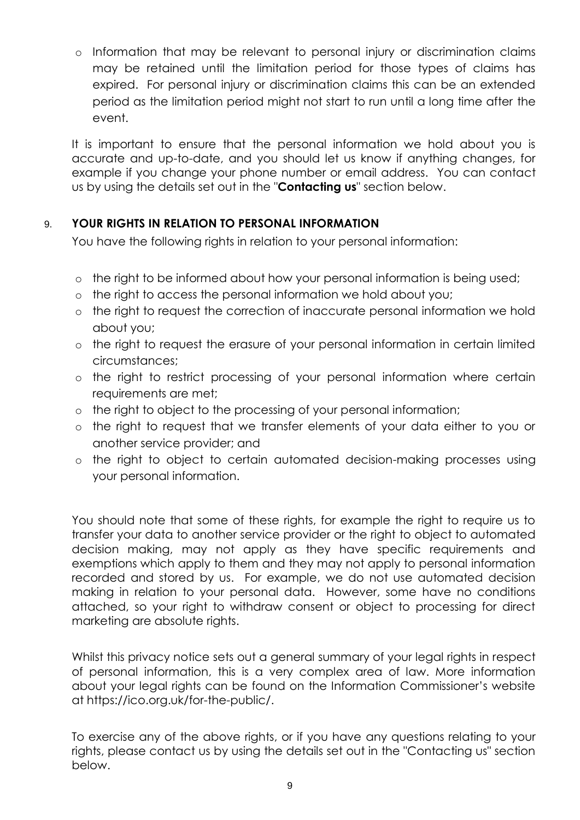o Information that may be relevant to personal injury or discrimination claims may be retained until the limitation period for those types of claims has expired. For personal injury or discrimination claims this can be an extended period as the limitation period might not start to run until a long time after the event.

It is important to ensure that the personal information we hold about you is accurate and up-to-date, and you should let us know if anything changes, for example if you change your phone number or email address. You can contact us by using the details set out in the "**Contacting us**" section below.

# 9. **YOUR RIGHTS IN RELATION TO PERSONAL INFORMATION**

You have the following rights in relation to your personal information:

- o the right to be informed about how your personal information is being used;
- o the right to access the personal information we hold about you;
- o the right to request the correction of inaccurate personal information we hold about you;
- o the right to request the erasure of your personal information in certain limited circumstances;
- o the right to restrict processing of your personal information where certain requirements are met;
- o the right to object to the processing of your personal information;
- o the right to request that we transfer elements of your data either to you or another service provider; and
- o the right to object to certain automated decision-making processes using your personal information.

You should note that some of these rights, for example the right to require us to transfer your data to another service provider or the right to object to automated decision making, may not apply as they have specific requirements and exemptions which apply to them and they may not apply to personal information recorded and stored by us. For example, we do not use automated decision making in relation to your personal data. However, some have no conditions attached, so your right to withdraw consent or object to processing for direct marketing are absolute rights.

Whilst this privacy notice sets out a general summary of your legal rights in respect of personal information, this is a very complex area of law. More information about your legal rights can be found on the Information Commissioner's website at https://ico.org.uk/for-the-public/.

To exercise any of the above rights, or if you have any questions relating to your rights, please contact us by using the details set out in the "Contacting us" section below.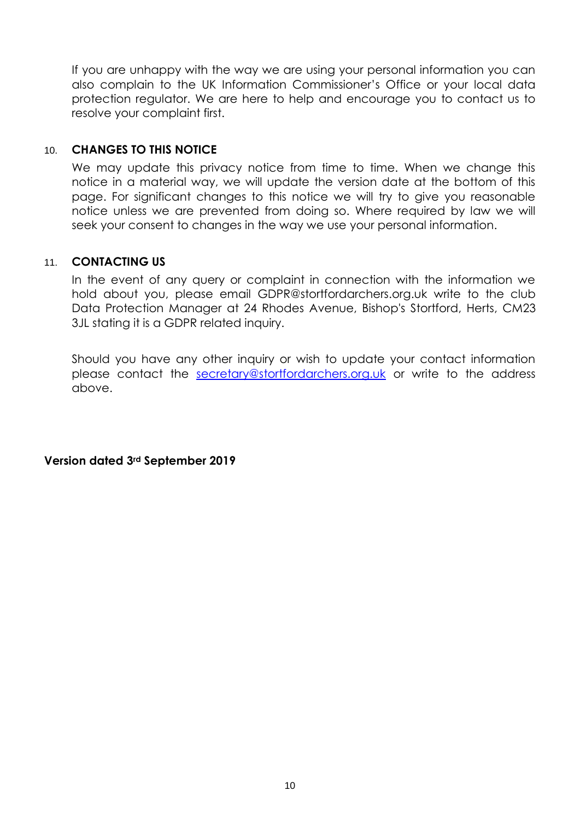If you are unhappy with the way we are using your personal information you can also complain to the UK Information Commissioner's Office or your local data protection regulator. We are here to help and encourage you to contact us to resolve your complaint first.

#### 10. **CHANGES TO THIS NOTICE**

We may update this privacy notice from time to time. When we change this notice in a material way, we will update the version date at the bottom of this page. For significant changes to this notice we will try to give you reasonable notice unless we are prevented from doing so. Where required by law we will seek your consent to changes in the way we use your personal information.

#### 11. **CONTACTING US**

In the event of any query or complaint in connection with the information we hold about you, please email GDPR@stortfordarchers.org.uk write to the club Data Protection Manager at 24 Rhodes Avenue, Bishop's Stortford, Herts, CM23 3JL stating it is a GDPR related inquiry.

Should you have any other inquiry or wish to update your contact information please contact the [secretary@stortfordarchers.org.uk](mailto:secretary@stortfordarchers.org.uk) or write to the address above.

**Version dated 3rd September 2019**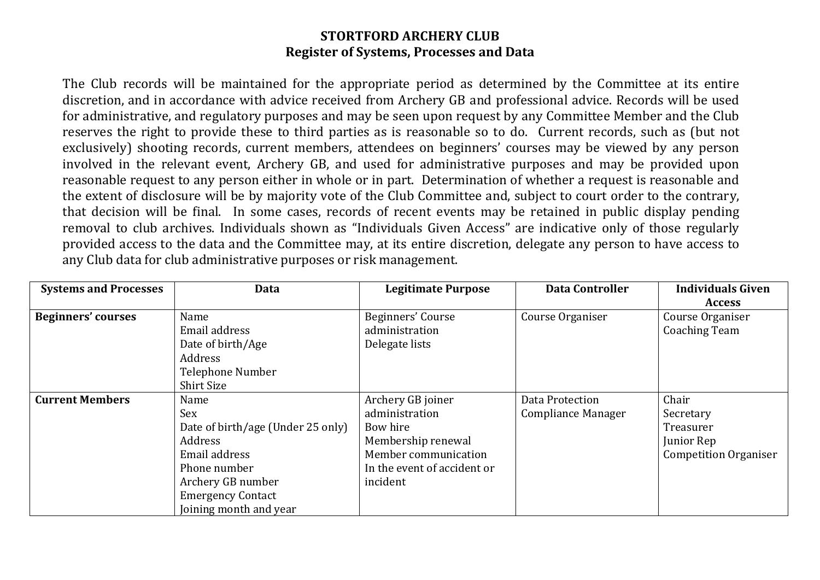# **STORTFORD ARCHERY CLUB Register of Systems, Processes and Data**

The Club records will be maintained for the appropriate period as determined by the Committee at its entire discretion, and in accordance with advice received from Archery GB and professional advice. Records will be used for administrative, and regulatory purposes and may be seen upon request by any Committee Member and the Club reserves the right to provide these to third parties as is reasonable so to do. Current records, such as (but not exclusively) shooting records, current members, attendees on beginners' courses may be viewed by any person involved in the relevant event, Archery GB, and used for administrative purposes and may be provided upon reasonable request to any person either in whole or in part. Determination of whether a request is reasonable and the extent of disclosure will be by majority vote of the Club Committee and, subject to court order to the contrary, that decision will be final. In some cases, records of recent events may be retained in public display pending removal to club archives. Individuals shown as "Individuals Given Access" are indicative only of those regularly provided access to the data and the Committee may, at its entire discretion, delegate any person to have access to any Club data for club administrative purposes or risk management.

| <b>Systems and Processes</b> | Data                              | <b>Legitimate Purpose</b>   | <b>Data Controller</b>    | <b>Individuals Given</b>     |
|------------------------------|-----------------------------------|-----------------------------|---------------------------|------------------------------|
|                              |                                   |                             |                           | <b>Access</b>                |
| <b>Beginners' courses</b>    | Name                              | Beginners' Course           | Course Organiser          | Course Organiser             |
|                              | Email address                     | administration              |                           | <b>Coaching Team</b>         |
|                              | Date of birth/Age                 | Delegate lists              |                           |                              |
|                              | Address                           |                             |                           |                              |
|                              | Telephone Number                  |                             |                           |                              |
|                              | <b>Shirt Size</b>                 |                             |                           |                              |
| <b>Current Members</b>       | Name                              | Archery GB joiner           | Data Protection           | Chair                        |
|                              | Sex                               | administration              | <b>Compliance Manager</b> | Secretary                    |
|                              | Date of birth/age (Under 25 only) | Bow hire                    |                           | Treasurer                    |
|                              | Address                           | Membership renewal          |                           | Junior Rep                   |
|                              | Email address                     | Member communication        |                           | <b>Competition Organiser</b> |
|                              | Phone number                      | In the event of accident or |                           |                              |
|                              | Archery GB number                 | incident                    |                           |                              |
|                              | <b>Emergency Contact</b>          |                             |                           |                              |
|                              | Joining month and year            |                             |                           |                              |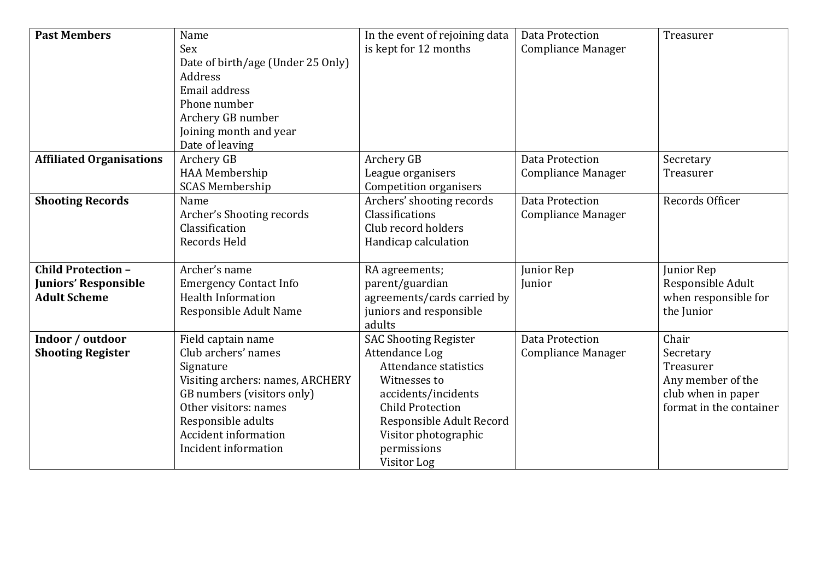| <b>Past Members</b>             | Name                              | In the event of rejoining data | Data Protection           | Treasurer               |
|---------------------------------|-----------------------------------|--------------------------------|---------------------------|-------------------------|
|                                 | Sex                               | is kept for 12 months          | <b>Compliance Manager</b> |                         |
|                                 | Date of birth/age (Under 25 Only) |                                |                           |                         |
|                                 | Address                           |                                |                           |                         |
|                                 | Email address                     |                                |                           |                         |
|                                 | Phone number                      |                                |                           |                         |
|                                 | Archery GB number                 |                                |                           |                         |
|                                 | Joining month and year            |                                |                           |                         |
|                                 | Date of leaving                   |                                |                           |                         |
| <b>Affiliated Organisations</b> | Archery GB                        | Archery GB                     | Data Protection           | Secretary               |
|                                 | HAA Membership                    | League organisers              | Compliance Manager        | Treasurer               |
|                                 | <b>SCAS Membership</b>            | <b>Competition organisers</b>  |                           |                         |
| <b>Shooting Records</b>         | Name                              | Archers' shooting records      | Data Protection           | Records Officer         |
|                                 | Archer's Shooting records         | Classifications                | <b>Compliance Manager</b> |                         |
|                                 | Classification                    | Club record holders            |                           |                         |
|                                 | Records Held                      | Handicap calculation           |                           |                         |
| <b>Child Protection -</b>       | Archer's name                     | RA agreements;                 | Junior Rep                | Junior Rep              |
| <b>Juniors' Responsible</b>     | <b>Emergency Contact Info</b>     | parent/guardian                | Junior                    | Responsible Adult       |
| <b>Adult Scheme</b>             | <b>Health Information</b>         | agreements/cards carried by    |                           | when responsible for    |
|                                 | Responsible Adult Name            | juniors and responsible        |                           | the Junior              |
|                                 |                                   | adults                         |                           |                         |
| Indoor / outdoor                | Field captain name                | <b>SAC Shooting Register</b>   | <b>Data Protection</b>    | Chair                   |
| <b>Shooting Register</b>        | Club archers' names               | Attendance Log                 | <b>Compliance Manager</b> | Secretary               |
|                                 | Signature                         | Attendance statistics          |                           | Treasurer               |
|                                 | Visiting archers: names, ARCHERY  | Witnesses to                   |                           | Any member of the       |
|                                 | GB numbers (visitors only)        | accidents/incidents            |                           | club when in paper      |
|                                 | Other visitors: names             | <b>Child Protection</b>        |                           | format in the container |
|                                 | Responsible adults                | Responsible Adult Record       |                           |                         |
|                                 | <b>Accident information</b>       | Visitor photographic           |                           |                         |
|                                 | Incident information              | permissions                    |                           |                         |
|                                 |                                   | Visitor Log                    |                           |                         |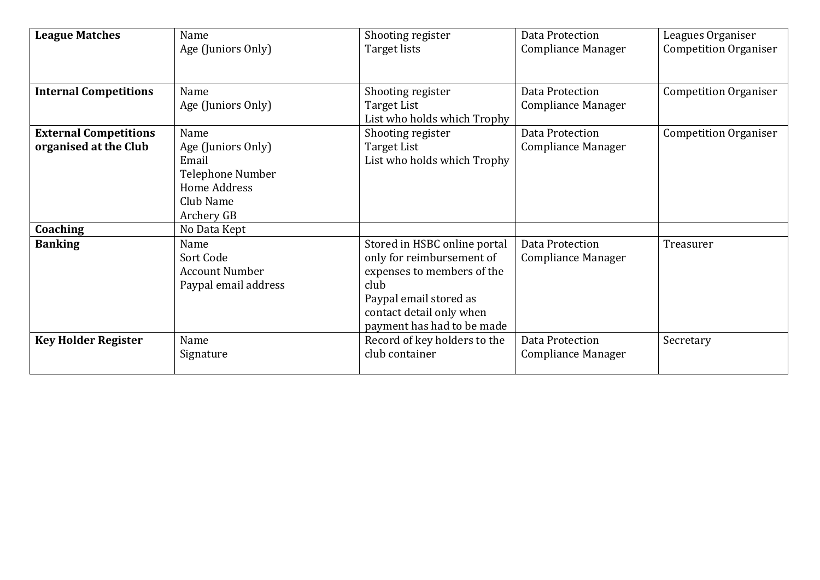| <b>League Matches</b>                                             | Name<br>Age (Juniors Only)                                                                                         | Shooting register<br>Target lists                                                                                                                                                   | Data Protection<br><b>Compliance Manager</b> | Leagues Organiser<br><b>Competition Organiser</b> |
|-------------------------------------------------------------------|--------------------------------------------------------------------------------------------------------------------|-------------------------------------------------------------------------------------------------------------------------------------------------------------------------------------|----------------------------------------------|---------------------------------------------------|
| <b>Internal Competitions</b>                                      | Name                                                                                                               | Shooting register                                                                                                                                                                   | Data Protection                              | <b>Competition Organiser</b>                      |
|                                                                   | Age (Juniors Only)                                                                                                 | Target List<br>List who holds which Trophy                                                                                                                                          | <b>Compliance Manager</b>                    |                                                   |
| <b>External Competitions</b><br>organised at the Club<br>Coaching | Name<br>Age (Juniors Only)<br>Email<br>Telephone Number<br>Home Address<br>Club Name<br>Archery GB<br>No Data Kept | Shooting register<br>Target List<br>List who holds which Trophy                                                                                                                     | Data Protection<br><b>Compliance Manager</b> | <b>Competition Organiser</b>                      |
| <b>Banking</b>                                                    | Name<br>Sort Code<br><b>Account Number</b><br>Paypal email address                                                 | Stored in HSBC online portal<br>only for reimbursement of<br>expenses to members of the<br>club<br>Paypal email stored as<br>contact detail only when<br>payment has had to be made | Data Protection<br><b>Compliance Manager</b> | Treasurer                                         |
| <b>Key Holder Register</b>                                        | Name<br>Signature                                                                                                  | Record of key holders to the<br>club container                                                                                                                                      | Data Protection<br>Compliance Manager        | Secretary                                         |